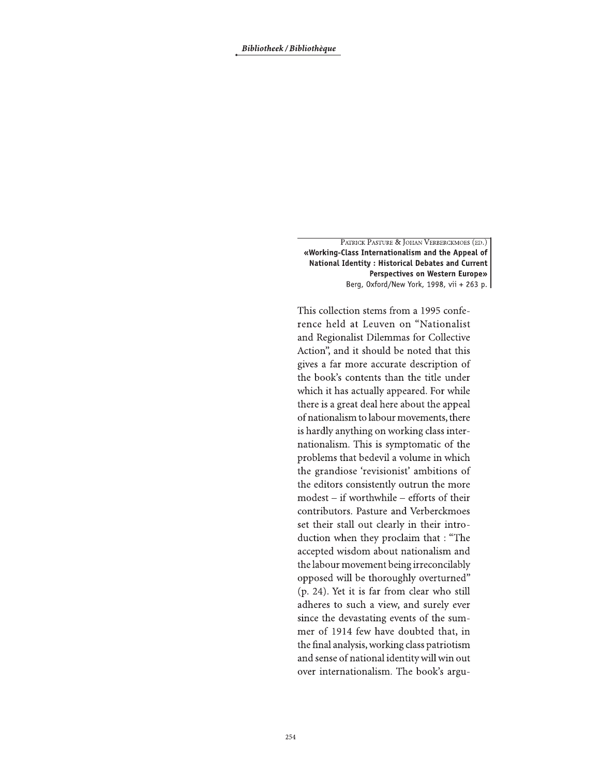PATRICK PASTURE & JOHAN VERBERCKMOES (ED.) «Working-Class Internationalism and the Appeal of National Identity : Historical Debates and Current Perspectives on Western Europe» Berg, 0xford/New York, 1998, vii + 263 p.

This collection stems from a 1995 conference held at Leuven on "Nationalist and Regionalist Dilemmas for Collective Action", and it should be noted that this gives a far more accurate description of the book's contents than the title under which it has actually appeared. For while there is a great deal here about the appeal of nationalism to labour movements, there is hardly anything on working class internationalism. This is symptomatic of the problems that bedevil a volume in which the grandiose 'revisionist' ambitions of the editors consistently outrun the more modest – if worthwhile – efforts of their contributors. Pasture and Verberckmoes set their stall out clearly in their introduction when they proclaim that : "The accepted wisdom about nationalism and the labour movement being irreconcilably opposed will be thoroughly overturned" (p. 24). Yet it is far from clear who still adheres to such a view, and surely ever since the devastating events of the summer of 1914 few have doubted that, in the final analysis, working class patriotism and sense of national identity will win out over internationalism. The book's argu